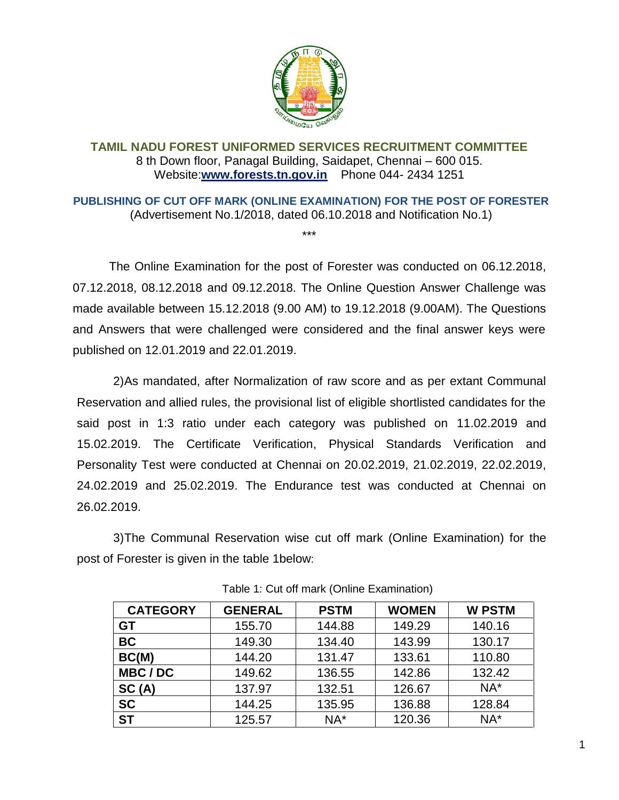

## **TAMIL NADU FOREST UNIFORMED SERVICES RECRUITMENT COMMITTEE** 8 th Down floor, Panagal Building, Saidapet, Chennai – 600 015. Website:**[www.forests.tn.gov.in](http://www.forests.tn.gov.in/)** Phone 044- 2434 1251

**PUBLISHING OF CUT OFF MARK (ONLINE EXAMINATION) FOR THE POST OF FORESTER**  (Advertisement No.1/2018, dated 06.10.2018 and Notification No.1)

\*\*\*

The Online Examination for the post of Forester was conducted on 06.12.2018, 07.12.2018, 08.12.2018 and 09.12.2018. The Online Question Answer Challenge was made available between 15.12.2018 (9.00 AM) to 19.12.2018 (9.00AM). The Questions and Answers that were challenged were considered and the final answer keys were published on 12.01.2019 and 22.01.2019.

2)As mandated, after Normalization of raw score and as per extant Communal Reservation and allied rules, the provisional list of eligible shortlisted candidates for the said post in 1:3 ratio under each category was published on 11.02.2019 and 15.02.2019. The Certificate Verification, Physical Standards Verification and Personality Test were conducted at Chennai on 20.02.2019, 21.02.2019, 22.02.2019, 24.02.2019 and 25.02.2019. The Endurance test was conducted at Chennai on 26.02.2019.

3)The Communal Reservation wise cut off mark (Online Examination) for the post of Forester is given in the table 1below:

| <b>CATEGORY</b> | <b>GENERAL</b> | <b>PSTM</b> | <b>WOMEN</b> | <b>W PSTM</b> |
|-----------------|----------------|-------------|--------------|---------------|
| <b>GT</b>       | 155.70         | 144.88      | 149.29       | 140.16        |
| <b>BC</b>       | 149.30         | 134.40      | 143.99       | 130.17        |
| BC(M)           | 144.20         | 131.47      | 133.61       | 110.80        |
| MBC/DC          | 149.62         | 136.55      | 142.86       | 132.42        |
| SC(A)           | 137.97         | 132.51      | 126.67       | $NA^*$        |
| <b>SC</b>       | 144.25         | 135.95      | 136.88       | 128.84        |
| <b>ST</b>       | 125.57         | $NA^*$      | 120.36       | $NA^*$        |

Table 1: Cut off mark (Online Examination)